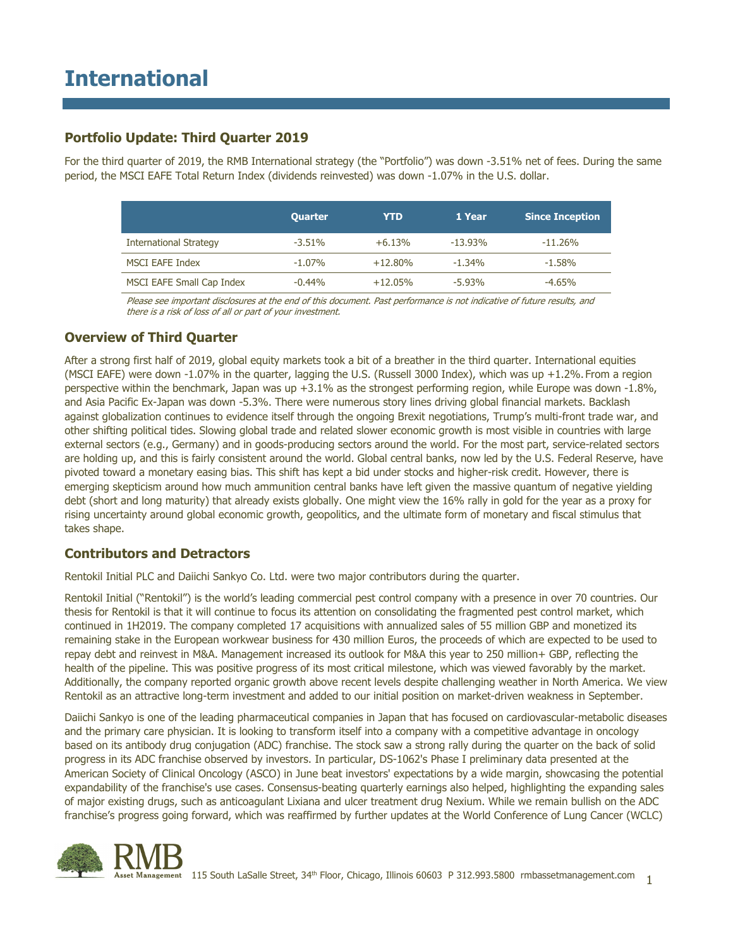## **Portfolio Update: Third Quarter 2019**

For the third quarter of 2019, the RMB International strategy (the "Portfolio") was down -3.51% net of fees. During the same period, the MSCI EAFE Total Return Index (dividends reinvested) was down -1.07% in the U.S. dollar.

|                               | <b>Quarter</b> | YTD        | 1 Year     | <b>Since Inception</b> |
|-------------------------------|----------------|------------|------------|------------------------|
| <b>International Strategy</b> | $-3.51\%$      | $+6.13%$   | $-13.93\%$ | $-11.26\%$             |
| <b>MSCI EAFE Index</b>        | $-1.07\%$      | $+12.80\%$ | $-1.34%$   | $-1.58%$               |
| MSCI EAFE Small Cap Index     | $-0.44%$       | $+12.05%$  | $-5.93%$   | $-4.65%$               |

Please see important disclosures at the end of this document. Past performance is not indicative of future results, and there is a risk of loss of all or part of your investment.

## **Overview of Third Quarter**

After a strong first half of 2019, global equity markets took a bit of a breather in the third quarter. International equities (MSCI EAFE) were down -1.07% in the quarter, lagging the U.S. (Russell 3000 Index), which was up +1.2%. From a region perspective within the benchmark, Japan was up +3.1% as the strongest performing region, while Europe was down -1.8%, and Asia Pacific Ex-Japan was down -5.3%. There were numerous story lines driving global financial markets. Backlash against globalization continues to evidence itself through the ongoing Brexit negotiations, Trump's multi-front trade war, and other shifting political tides. Slowing global trade and related slower economic growth is most visible in countries with large external sectors (e.g., Germany) and in goods-producing sectors around the world. For the most part, service-related sectors are holding up, and this is fairly consistent around the world. Global central banks, now led by the U.S. Federal Reserve, have pivoted toward a monetary easing bias. This shift has kept a bid under stocks and higher-risk credit. However, there is emerging skepticism around how much ammunition central banks have left given the massive quantum of negative yielding debt (short and long maturity) that already exists globally. One might view the 16% rally in gold for the year as a proxy for rising uncertainty around global economic growth, geopolitics, and the ultimate form of monetary and fiscal stimulus that takes shape.

### **Contributors and Detractors**

Rentokil Initial PLC and Daiichi Sankyo Co. Ltd. were two major contributors during the quarter.

Rentokil Initial ("Rentokil") is the world's leading commercial pest control company with a presence in over 70 countries. Our thesis for Rentokil is that it will continue to focus its attention on consolidating the fragmented pest control market, which continued in 1H2019. The company completed 17 acquisitions with annualized sales of 55 million GBP and monetized its remaining stake in the European workwear business for 430 million Euros, the proceeds of which are expected to be used to repay debt and reinvest in M&A. Management increased its outlook for M&A this year to 250 million+ GBP, reflecting the health of the pipeline. This was positive progress of its most critical milestone, which was viewed favorably by the market. Additionally, the company reported organic growth above recent levels despite challenging weather in North America. We view Rentokil as an attractive long-term investment and added to our initial position on market-driven weakness in September.

Daiichi Sankyo is one of the leading pharmaceutical companies in Japan that has focused on cardiovascular-metabolic diseases and the primary care physician. It is looking to transform itself into a company with a competitive advantage in oncology based on its antibody drug conjugation (ADC) franchise. The stock saw a strong rally during the quarter on the back of solid progress in its ADC franchise observed by investors. In particular, DS-1062's Phase I preliminary data presented at the American Society of Clinical Oncology (ASCO) in June beat investors' expectations by a wide margin, showcasing the potential expandability of the franchise's use cases. Consensus-beating quarterly earnings also helped, highlighting the expanding sales of major existing drugs, such as anticoagulant Lixiana and ulcer treatment drug Nexium. While we remain bullish on the ADC franchise's progress going forward, which was reaffirmed by further updates at the World Conference of Lung Cancer (WCLC)

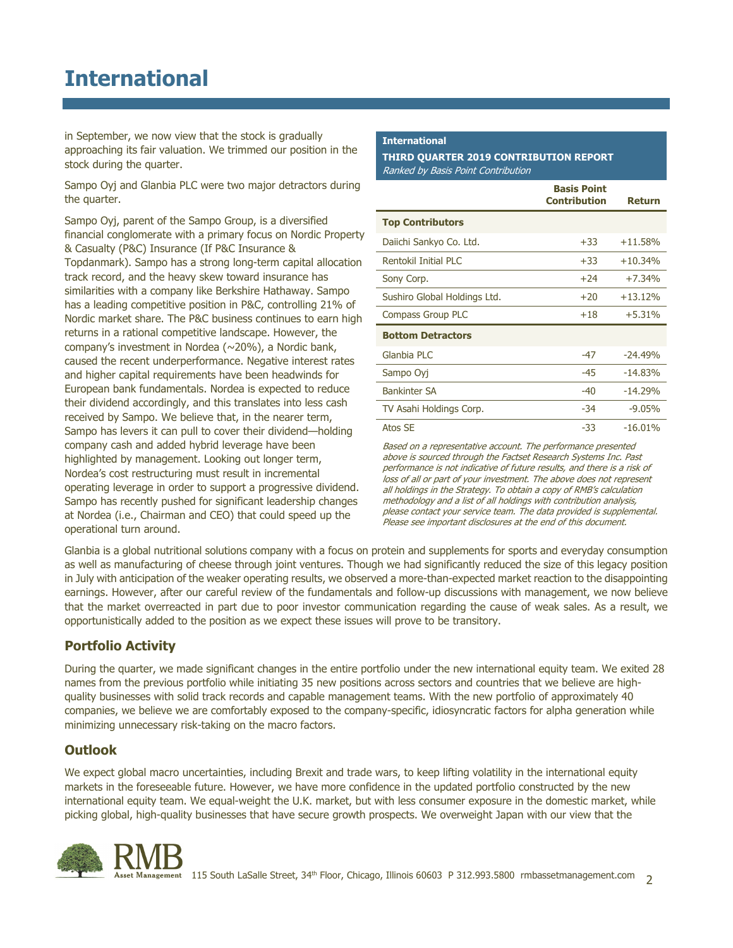## **International**

in September, we now view that the stock is gradually approaching its fair valuation. We trimmed our position in the stock during the quarter.

Sampo Oyj and Glanbia PLC were two major detractors during the quarter.

Sampo Oyj, parent of the Sampo Group, is a diversified financial conglomerate with a primary focus on Nordic Property & Casualty (P&C) Insurance (If P&C Insurance & Topdanmark). Sampo has a strong long-term capital allocation track record, and the heavy skew toward insurance has similarities with a company like Berkshire Hathaway. Sampo has a leading competitive position in P&C, controlling 21% of Nordic market share. The P&C business continues to earn high returns in a rational competitive landscape. However, the company's investment in Nordea (~20%), a Nordic bank, caused the recent underperformance. Negative interest rates and higher capital requirements have been headwinds for European bank fundamentals. Nordea is expected to reduce their dividend accordingly, and this translates into less cash received by Sampo. We believe that, in the nearer term, Sampo has levers it can pull to cover their dividend—holding company cash and added hybrid leverage have been highlighted by management. Looking out longer term, Nordea's cost restructuring must result in incremental operating leverage in order to support a progressive dividend. Sampo has recently pushed for significant leadership changes at Nordea (i.e., Chairman and CEO) that could speed up the operational turn around.

#### **International**

**THIRD QUARTER 2019 CONTRIBUTION REPORT** Ranked by Basis Point Contribution

|                              | <b>Basis Point</b><br><b>Contribution</b> | <b>Return</b> |
|------------------------------|-------------------------------------------|---------------|
| <b>Top Contributors</b>      |                                           |               |
| Daiichi Sankyo Co. Ltd.      | $+33$                                     | $+11.58%$     |
| Rentokil Initial PLC         | $+33$                                     | $+10.34%$     |
| Sony Corp.                   | $+24$                                     | $+7.34%$      |
| Sushiro Global Holdings Ltd. | $+20$                                     | $+13.12%$     |
| <b>Compass Group PLC</b>     | $+18$                                     | $+5.31%$      |
| <b>Bottom Detractors</b>     |                                           |               |
| Glanbia PLC                  | $-47$                                     | $-24.49%$     |
| Sampo Oyj                    | $-45$                                     | $-14.83%$     |
| <b>Bankinter SA</b>          | $-40$                                     | $-14.29%$     |
| TV Asahi Holdings Corp.      | $-34$                                     | $-9.05%$      |
| Atos SE                      | -33                                       | $-16.01%$     |

Based on a representative account. The performance presented above is sourced through the Factset Research Systems Inc. Past performance is not indicative of future results, and there is a risk of loss of all or part of your investment. The above does not represent all holdings in the Strategy. To obtain a copy of RMB's calculation methodology and a list of all holdings with contribution analysis, please contact your service team. The data provided is supplemental. Please see important disclosures at the end of this document.

Glanbia is a global nutritional solutions company with a focus on protein and supplements for sports and everyday consumption as well as manufacturing of cheese through joint ventures. Though we had significantly reduced the size of this legacy position in July with anticipation of the weaker operating results, we observed a more-than-expected market reaction to the disappointing earnings. However, after our careful review of the fundamentals and follow-up discussions with management, we now believe that the market overreacted in part due to poor investor communication regarding the cause of weak sales. As a result, we opportunistically added to the position as we expect these issues will prove to be transitory.

## **Portfolio Activity**

During the quarter, we made significant changes in the entire portfolio under the new international equity team. We exited 28 names from the previous portfolio while initiating 35 new positions across sectors and countries that we believe are highquality businesses with solid track records and capable management teams. With the new portfolio of approximately 40 companies, we believe we are comfortably exposed to the company-specific, idiosyncratic factors for alpha generation while minimizing unnecessary risk-taking on the macro factors.

## **Outlook**

We expect global macro uncertainties, including Brexit and trade wars, to keep lifting volatility in the international equity markets in the foreseeable future. However, we have more confidence in the updated portfolio constructed by the new international equity team. We equal-weight the U.K. market, but with less consumer exposure in the domestic market, while picking global, high-quality businesses that have secure growth prospects. We overweight Japan with our view that the

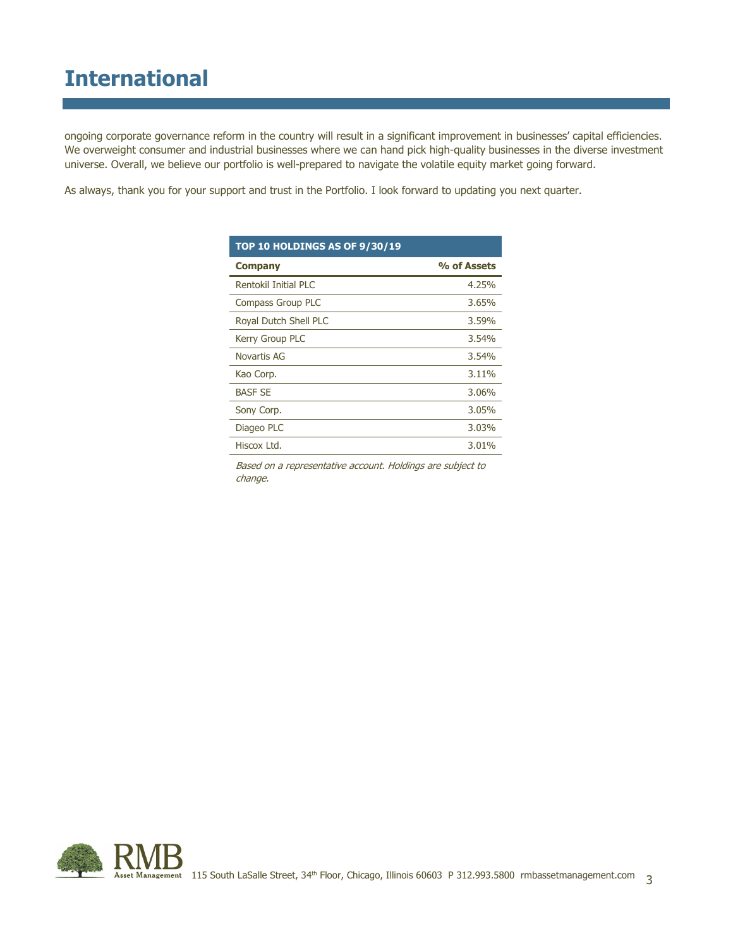# **International**

ongoing corporate governance reform in the country will result in a significant improvement in businesses' capital efficiencies. We overweight consumer and industrial businesses where we can hand pick high-quality businesses in the diverse investment universe. Overall, we believe our portfolio is well-prepared to navigate the volatile equity market going forward.

As always, thank you for your support and trust in the Portfolio. I look forward to updating you next quarter.

| <b>TOP 10 HOLDINGS AS OF 9/30/19</b> |             |  |  |  |
|--------------------------------------|-------------|--|--|--|
| <b>Company</b>                       | % of Assets |  |  |  |
| Rentokil Initial PLC                 | 4.25%       |  |  |  |
| <b>Compass Group PLC</b>             | 3.65%       |  |  |  |
| Royal Dutch Shell PLC                | 3.59%       |  |  |  |
| Kerry Group PLC                      | 3.54%       |  |  |  |
| Novartis AG                          | 3.54%       |  |  |  |
| Kao Corp.                            | 3.11%       |  |  |  |
| <b>BASF SE</b>                       | 3.06%       |  |  |  |
| Sony Corp.                           | 3.05%       |  |  |  |
| Diageo PLC                           | 3.03%       |  |  |  |
| Hiscox Ltd.                          | 3.01%       |  |  |  |

Based on a representative account. Holdings are subject to change.